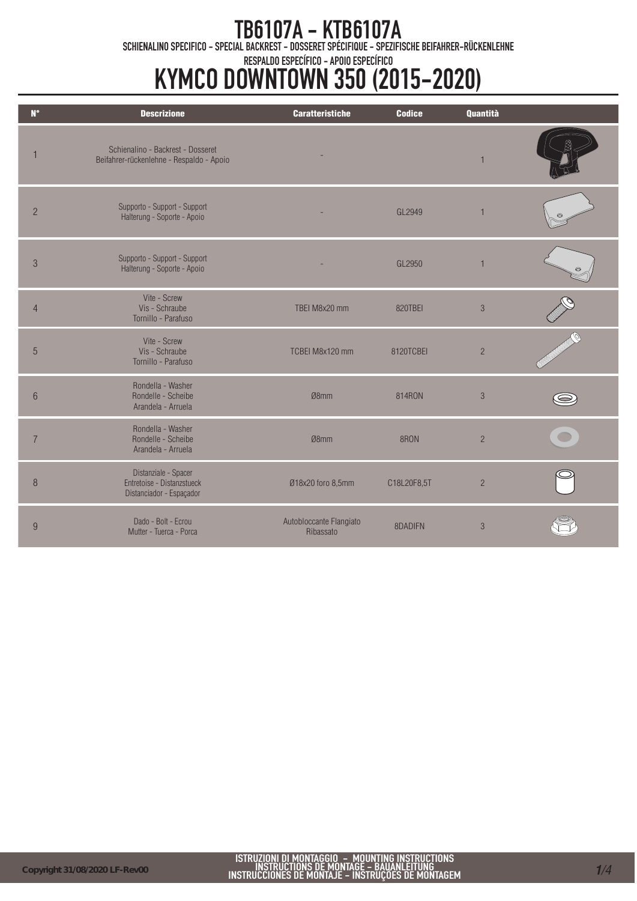TB6107A - KTB6107A<br>Schienalino specifico - special backrest - dosseret spécifique - spezifische beifahrer-rückenlehne

### RESPALDO ESPECÍFICO - APOIO ESPECÍFICO

# KYMCO DOWNTOWN 350 (2015-2020)

| $N^{\circ}$    | <b>Descrizione</b>                                                             | <b>Caratteristiche</b>               | <b>Codice</b> | Quantità       |         |
|----------------|--------------------------------------------------------------------------------|--------------------------------------|---------------|----------------|---------|
|                |                                                                                |                                      |               |                |         |
|                | Schienalino - Backrest - Dosseret<br>Beifahrer-rückenlehne - Respaldo - Apoio  |                                      |               | 1              |         |
| $\overline{2}$ | Supporto - Support - Support<br>Halterung - Soporte - Apoio                    |                                      | GL2949        | $\overline{1}$ |         |
| $\mathfrak{Z}$ | Supporto - Support - Support<br>Halterung - Soporte - Apoio                    |                                      | GL2950        | $\mathbf{1}$   | $\odot$ |
| $\overline{4}$ | Vite - Screw<br>Vis - Schraube<br>Tornillo - Parafuso                          | TBEI M8x20 mm                        | 820TBEI       | 3              |         |
| $\overline{5}$ | Vite - Screw<br>Vis - Schraube<br>Tornillo - Parafuso                          | TCBEI M8x120 mm                      | 8120TCBEI     | $\overline{c}$ |         |
| 6              | Rondella - Washer<br>Rondelle - Scheibe<br>Arandela - Arruela                  | Ø8mm                                 | 814RON        | $\mathcal{S}$  |         |
| 7              | Rondella - Washer<br>Rondelle - Scheibe<br>Arandela - Arruela                  | Ø8mm                                 | 8RON          | $\overline{c}$ |         |
| $\, 8$         | Distanziale - Spacer<br>Entretoise - Distanzstueck<br>Distanciador - Espaçador | Ø18x20 foro 8,5mm                    | C18L20F8,5T   | $\overline{c}$ |         |
| 9              | Dado - Bolt - Ecrou<br>Mutter - Tuerca - Porca                                 | Autobloccante Flangiato<br>Ribassato | 8DADIFN       | 3              |         |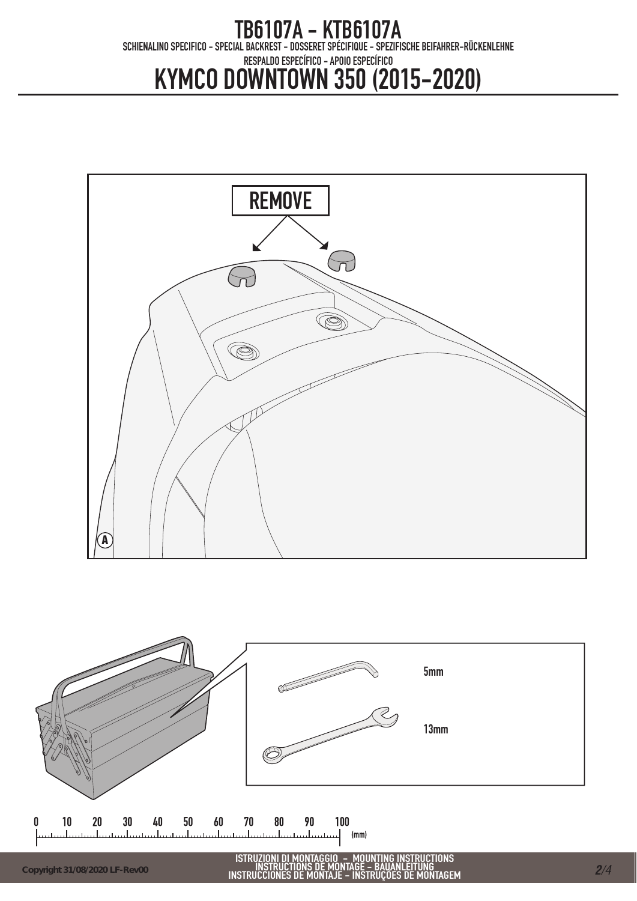## TB6107A - KTB6107A<br>Schienalino specifico - special backrest - dosseret spécifique - spezifische beifahrer-rückenlehne RESPALDO ESPECÍFICO - APOIO ESPECÍFICO KYMCO DOWNTOWN 350 (2015-2020)



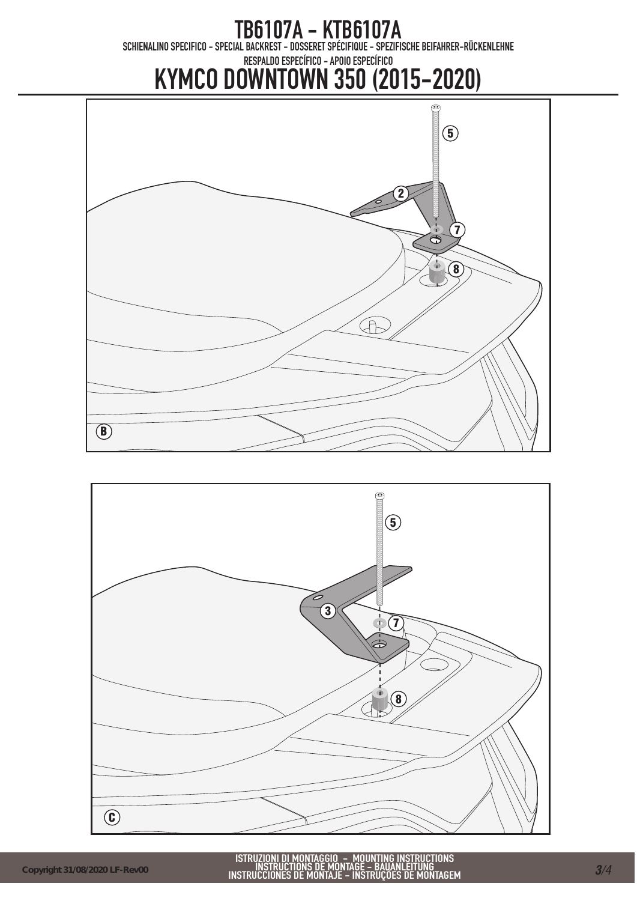TB6107A - KTB6107A<br>Schienalino specifico - special backrest - dosseret spécifique - spezifische beifahrer-rückenlehne

### RESPALDO ESPECÍFICO - APOIO ESPECÍFICO

# KYMCO DOWNTOWN 350 (2015-2020)